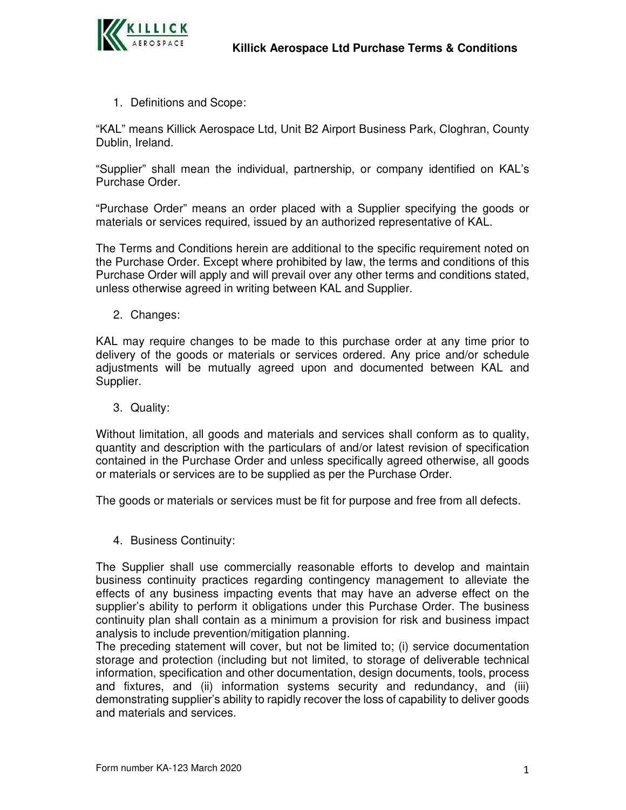

1. Definitions and Scope:

"KAL" means Killick Aerospace Ltd, Unit B2 Airport Business Park, Cloghran, County Dublin, Ireland.

"Supplier" shall mean the individual, partnership, or company identified on KAL's Purchase Order.

"Purchase Order" means an order placed with a Supplier specifying the goods or materials or services required, issued by an authorized representative of KAL.

The Terms and Conditions herein are additional to the specific requirement noted on the Purchase Order. Except where prohibited by law, the terms and conditions of this Purchase Order will apply and will prevail over any other terms and conditions stated, unless otherwise agreed in writing between KAL and Supplier.

2. Changes:

KAL may require changes to be made to this purchase order at any time prior to delivery of the goods or materials or services ordered. Any price and/or schedule adjustments will be mutually agreed upon and documented between KAL and Supplier.

3. Quality:

Without limitation, all goods and materials and services shall conform as to quality, quantity and description with the particulars of and/or latest revision of specification contained in the Purchase Order and unless specifically agreed otherwise, all goods or materials or services are to be supplied as per the Purchase Order.

The goods or materials or services must be fit for purpose and free from all defects.

4. Business Continuity:

The Supplier shall use commercially reasonable efforts to develop and maintain business continuity practices regarding contingency management to alleviate the effects of any business impacting events that may have an adverse effect on the supplier's ability to perform it obligations under this Purchase Order. The business continuity plan shall contain as a minimum a provision for risk and business impact analysis to include prevention/mitigation planning.

The preceding statement will cover, but not be limited to; (i) service documentation storage and protection (including but not limited, to storage of deliverable technical information, specification and other documentation, design documents, tools, process and fixtures, and (ii) information systems security and redundancy, and (iii) demonstrating supplier's ability to rapidly recover the loss of capability to deliver goods and materials and services.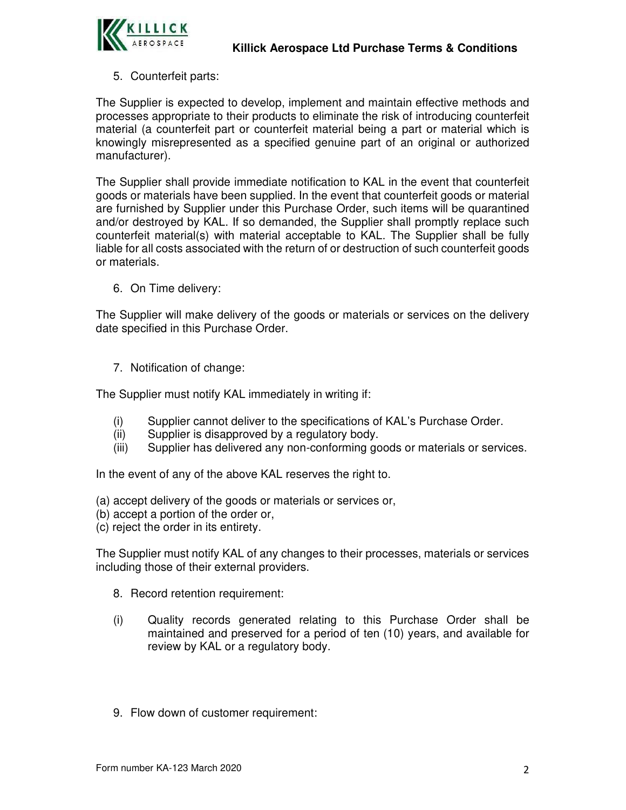

## 5. Counterfeit parts:

The Supplier is expected to develop, implement and maintain effective methods and processes appropriate to their products to eliminate the risk of introducing counterfeit material (a counterfeit part or counterfeit material being a part or material which is knowingly misrepresented as a specified genuine part of an original or authorized manufacturer).

The Supplier shall provide immediate notification to KAL in the event that counterfeit goods or materials have been supplied. In the event that counterfeit goods or material are furnished by Supplier under this Purchase Order, such items will be quarantined and/or destroyed by KAL. If so demanded, the Supplier shall promptly replace such counterfeit material(s) with material acceptable to KAL. The Supplier shall be fully liable for all costs associated with the return of or destruction of such counterfeit goods or materials.

6. On Time delivery:

The Supplier will make delivery of the goods or materials or services on the delivery date specified in this Purchase Order.

7. Notification of change:

The Supplier must notify KAL immediately in writing if:

- (i) Supplier cannot deliver to the specifications of KAL's Purchase Order.
- (ii) Supplier is disapproved by a regulatory body.
- (iii) Supplier has delivered any non-conforming goods or materials or services.

In the event of any of the above KAL reserves the right to.

- (a) accept delivery of the goods or materials or services or,
- (b) accept a portion of the order or,
- (c) reject the order in its entirety.

The Supplier must notify KAL of any changes to their processes, materials or services including those of their external providers.

- 8. Record retention requirement:
- (i) Quality records generated relating to this Purchase Order shall be maintained and preserved for a period of ten (10) years, and available for review by KAL or a regulatory body.
- 9. Flow down of customer requirement: